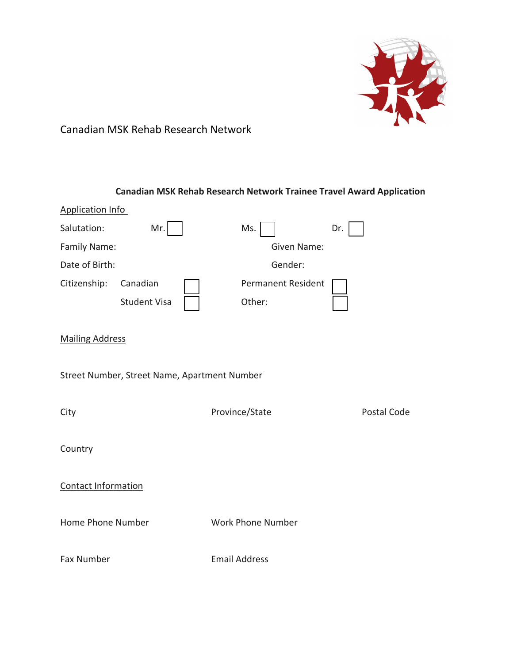

# Canadian MSK Rehab Research Network

### **Canadian MSK Rehab Research Network Trainee Travel Award Application**

| <b>Application Info</b> |                                              |                           |             |  |
|-------------------------|----------------------------------------------|---------------------------|-------------|--|
| Salutation:             | Mr.                                          | Ms.                       | Dr.         |  |
| Family Name:            |                                              | Given Name:               |             |  |
| Date of Birth:          |                                              | Gender:                   |             |  |
| Citizenship:            | Canadian                                     | <b>Permanent Resident</b> |             |  |
|                         | <b>Student Visa</b>                          | Other:                    |             |  |
| <b>Mailing Address</b>  |                                              |                           |             |  |
|                         | Street Number, Street Name, Apartment Number |                           |             |  |
| City                    |                                              | Province/State            | Postal Code |  |
| Country                 |                                              |                           |             |  |
| Contact Information     |                                              |                           |             |  |
| Home Phone Number       |                                              | Work Phone Number         |             |  |
| Fax Number              |                                              | <b>Email Address</b>      |             |  |
|                         |                                              |                           |             |  |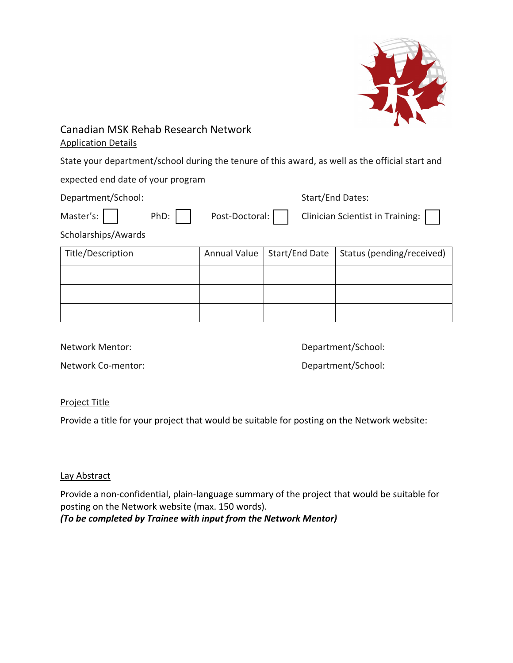

### Canadian MSK Rehab Research Network Application Details

State your department/school during the tenure of this award, as well as the official start and

expected end date of your program

| Department/School: |  |  | Start/End Dates:                                               |
|--------------------|--|--|----------------------------------------------------------------|
|                    |  |  | Master's: PhD: Post-Doctoral: Clinician Scientist in Training: |
| _                  |  |  |                                                                |

Scholarships/Awards

| Title/Description |  | Annual Value   Start/End Date   Status (pending/received) |
|-------------------|--|-----------------------------------------------------------|
|                   |  |                                                           |
|                   |  |                                                           |
|                   |  |                                                           |

Network Mentor: Network Mentor:

Network Co-mentor:  $\blacksquare$ 

#### Project Title

Provide a title for your project that would be suitable for posting on the Network website:

#### Lay Abstract

Provide a non-confidential, plain-language summary of the project that would be suitable for posting on the Network website (max. 150 words).

*(To be completed by Trainee with input from the Network Mentor)*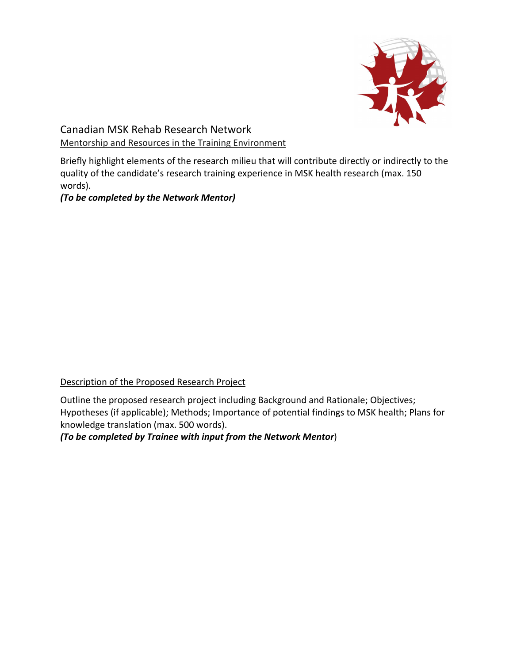

Canadian MSK Rehab Research Network Mentorship and Resources in the Training Environment

Briefly highlight elements of the research milieu that will contribute directly or indirectly to the quality of the candidate's research training experience in MSK health research (max. 150 words).

*(To be completed by the Network Mentor)* 

#### Description of the Proposed Research Project

Outline the proposed research project including Background and Rationale; Objectives; Hypotheses (if applicable); Methods; Importance of potential findings to MSK health; Plans for knowledge translation (max. 500 words).

*(To be completed by Trainee with input from the Network Mentor*)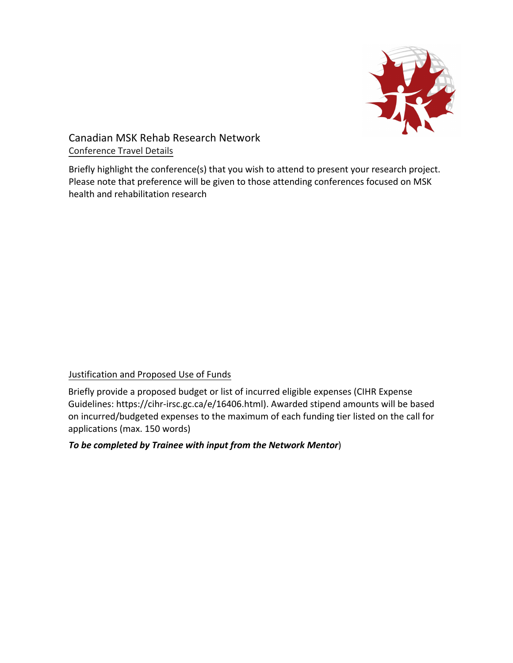

# Canadian MSK Rehab Research Network Conference Travel Details

Briefly highlight the conference(s) that you wish to attend to present your research project. Please note that preference will be given to those attending conferences focused on MSK health and rehabilitation research

## Justification and Proposed Use of Funds

Briefly provide a proposed budget or list of incurred eligible expenses (CIHR Expense Guidelines: https://cihr-irsc.gc.ca/e/16406.html). Awarded stipend amounts will be based on incurred/budgeted expenses to the maximum of each funding tier listed on the call for applications (max. 150 words)

#### *To be completed by Trainee with input from the Network Mentor*)